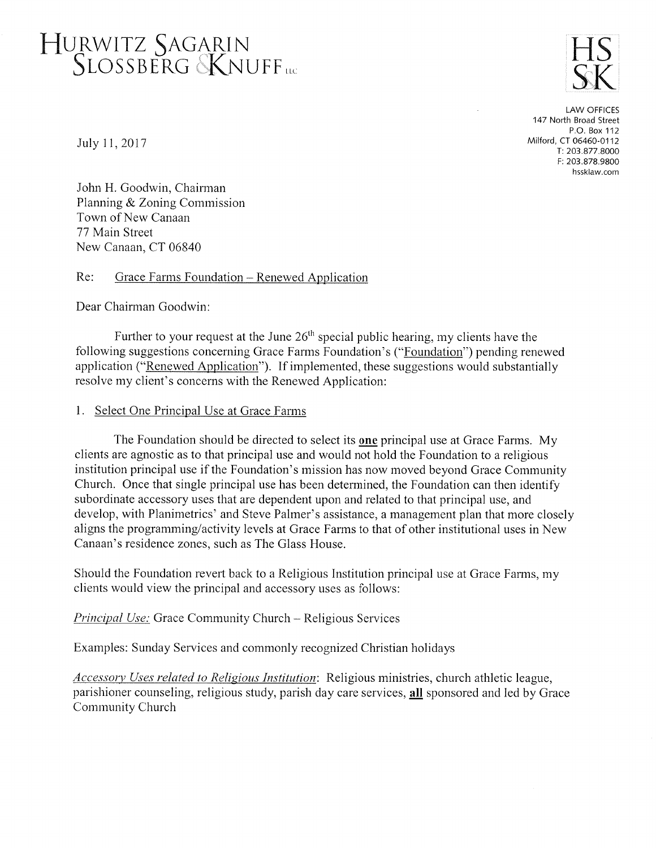## HURWITZ SAGARIN<br>SLOSSBERG KNUFF<sub>nc</sub>



LAW OFFICES 147 North Broad Street P,O. Box 112 Milford, Cr 06460-0112 r:2O3.877.8OOO F: 203.878.9800 hssklaw.com

July 11, 2017

John H. Goodwin, Chairman Planning & Zoning Commission Town of New Canaan 77 Main Street New Canaan, CT 06840

Re: Grace Farms Foundation - Renewed Application

Dear Chairman Goodwin

Further to your request at the June  $26<sup>th</sup>$  special public hearing, my clients have the following suggestions concerning Grace Farms Foundation's ("Foundation") pending renewed application ("Renewed Application"). If implernented, these suggestions would substantially resolve my client's concerns with the Renewed Application:

## 1. Select One Principal Use at Grace Farms

The Foundation should be directed to select its one principal use at Grace Farms. My clients are agnostic as to that principal use and would not hold the Foundation to a religious institution principal use if the Foundation's mission has now moved beyond Grace Comrnunity Church. Once that single principal use has been determined, the Foundation can then identify subordinate accessory uses that are dependent upon and related to that principal use, and develop, with Planimetrics' and Steve Palmer's assistance, a management plan that more closely aligns the programming/activity levels at Grace Fanns to that of other institutional uses in New Canaan's residence zones, such as The Glass House.

Should the Foundation revert back to a Religious Institution principal use at Grace Farms, my clients would view the principal and accessory uses as follows:

Principal Use: Grace Community Church - Religious Services

Examples: Sunday Services and commonly recognized Christian holidays

Accessory Uses related to Religious Institution: Religious ministries, church athletic league, parishioner counseling, religious study, parish day care services, all sponsored and led by Grace Community Church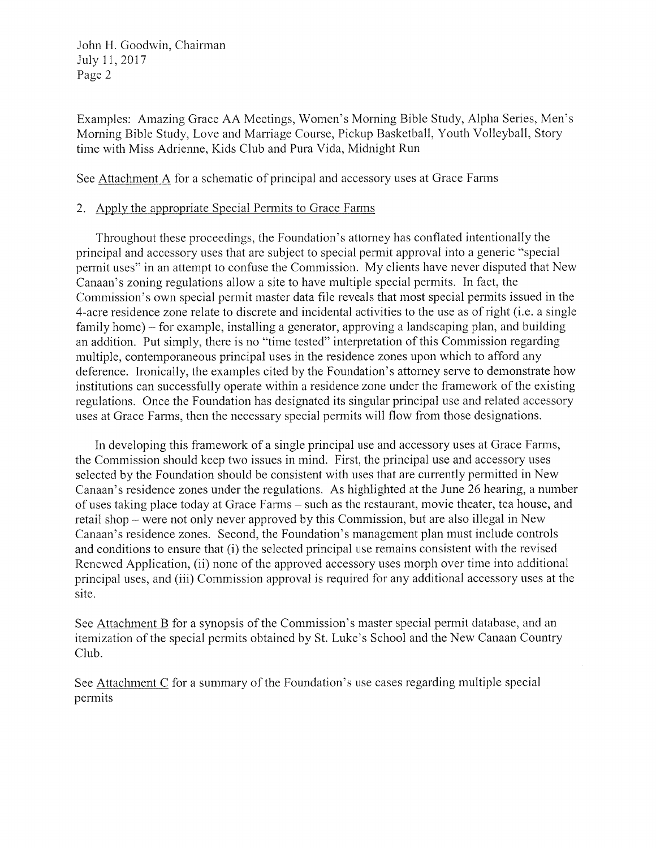John H. Goodwin, Chairman July 11, 2017 Page <sup>2</sup>

Examples: Amazing Grace AA Meetings, Women's Morning Bible Study, Alpha Series, Men's Morning Bible Study, Love and Marriage Course, Pickup Basketball, Youth Volleyball, Story time with Miss Adrienne, Kids Club and Pura Vida, Midnight Run

See Attachment A for a schematic of principal and accessory uses at Grace Farms

## 2. Apply the appropriate Special Permits to Grace Farms

Throughout these proceedings, the Foundation's attorney has conflated intentionally the principal and accessory uses that are subject to special permit approval into a generic "special permit uses" in an attempt to confuse the Commission. My clients have never disputed that New Canaan's zoning regulations allow a site to have multiple special pennits. In fact, the Commission's own special permit master data file reveals that most special perrnits issued in the 4-acre residence zone relate to discrete and incidental activities to the use as of right (i.e. a single family home) – for example, installing a generator, approving a landscaping plan, and building an addition. Put simply, there is no "time tested" interpretation of this Commission regarding multiple, contemporaneous principal uses in the residence zones upon which to afford any deference. Ironically, the examples cited by the Foundation's attorney serve to demonstrate how institutions can successfully operate within a residence zone under the framework of the existing regulations. Once the Foundation has designated its singular principal use and related accessory uses at Grace Farms, then the necessary special permits will flow from those designations.

In developing this framework of a single principal use and accessory uses at Grace Farms, the Commission should keep two issues in mind. First, the principal use and accessory uses selected by the Foundation should be consistent with uses that are currently permitted in New Canaan's residence zones under the regulations. As highlighted at the June 26 hearing, a number of uses taking place today at Grace Fanns - such as the restaurant, movie theater, tea house, and retail shop - were not only never approved by this Commission, but are also illegal in New Canaan's residence zones. Second, the Foundation's management plan must include controls and conditions to ensure that (i) the selected principal use remains consistent with the revised Renewed Application, (ii) none of the approved accessory uses motph over time into additional principal nses, and (iii) Commission approval is required for any additional accessory uses at the site.

See Attachment B for a synopsis of the Commission's master special permit database, and an itemization of the special permits obtained by St. Luke's School and the New Canaan Country Club.

See Attachment C for a summary of the Foundation's use cases regarding multiple special permits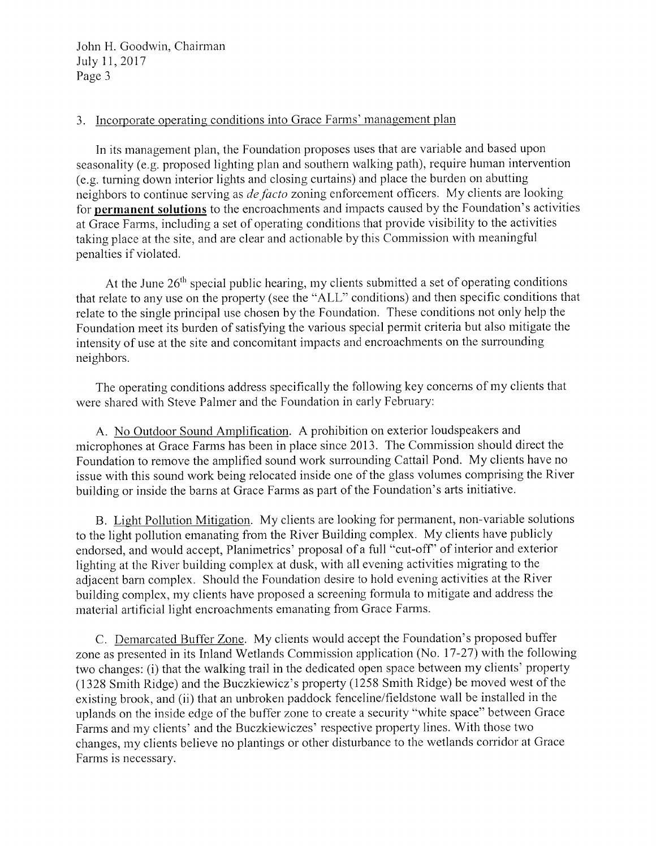John H. Goodwin, Chairman July 11, 2017 Page <sup>3</sup>

## 3. Incorporate operating conditions into Grace Farms' management plan

In its management plan, the Foundation proposes uses that are variable and based upon seasonality (e.g. proposed lighting plan and southern walking path), require human intervention (e.g. turning down interior lights and closing curtains) and place the burden on abutting neighbors to continue serving as *de facto* zoning enforcement officers. My clients are looking for permanent solutions to the encroachments and impacts caused by the Foundation's activities at Grace Farms, including a set of operating conditions that provide visibility to the activities taking place at the site, and are clear and actionable by this Commission with rneaningful penalties if violated.

At the June  $26<sup>th</sup>$  special public hearing, my clients submitted a set of operating conditions that relate to any use on the property (see the "ALL" conditions) and then specific conditions that relate to the single principal use chosen by the Foundation. These conditions not only help the Foundation meet its burden of satisfying the various special permit criteria but also mitigate the intensity of use at the site and concomitant impacts and encroachments on the surrounding neighbors.

The operating conditions address specifically the following key concerns of my clients that were shared with Steve Palmer and the Foundation in early February:

A. No Outdoor Sound Amplification. A prohibition on exterior loudspeakers and microphones at Grace Farms has been in place since 2013. The Commission should direct the Foundation to remove the amplified sound work surrounding Cattail Pond. My clients have no issue with this sound work being relocated inside one of the glass volumes comprising the River building or inside the barns at Grace Farms as part of the Foundation's arts initiative.

B. Light Pollution Mitigation. My clients are looking for permanent, non-variable solutions to the light pollution emanating from the River Building complex. My clients have publicly endorsed, and would accept, Planimetrics' proposal of a full "cut-off" of interior and exterior lighting at the River building complex at dusk, with all evening activities migrating to the adjacent bam complex. Should the Foundation desire to hold evening activities at the River building complex, my clients have proposed a screening formula to mitigate and address the material artificial light encroachments emanating from Grace Farms.

C. Demarcated Buffer Zone. My clients would accept the Foundation's proposed buffer zone as presented in its Inland Wetlands Commission application (No. 17-27) with the following two changes: (i) that the walking trail in the dedicated open space between my clients' property (1328 Smith Ridge) and the Buczkiewicz's propefty (1258 Srnith Ridge) be moved west of the existing brook, and (ii) that an unbroken paddock fenceline/fieldstone wall be installed in the uplands on the inside edge of the buffer zone to create a security "white space" between Grace Farms and my clients' and the Buczkiewiczes' respective property lines. With those two changes, my clients believe no plantings or other disturbance to the wetlands corridor at Grace Farms is necessary.